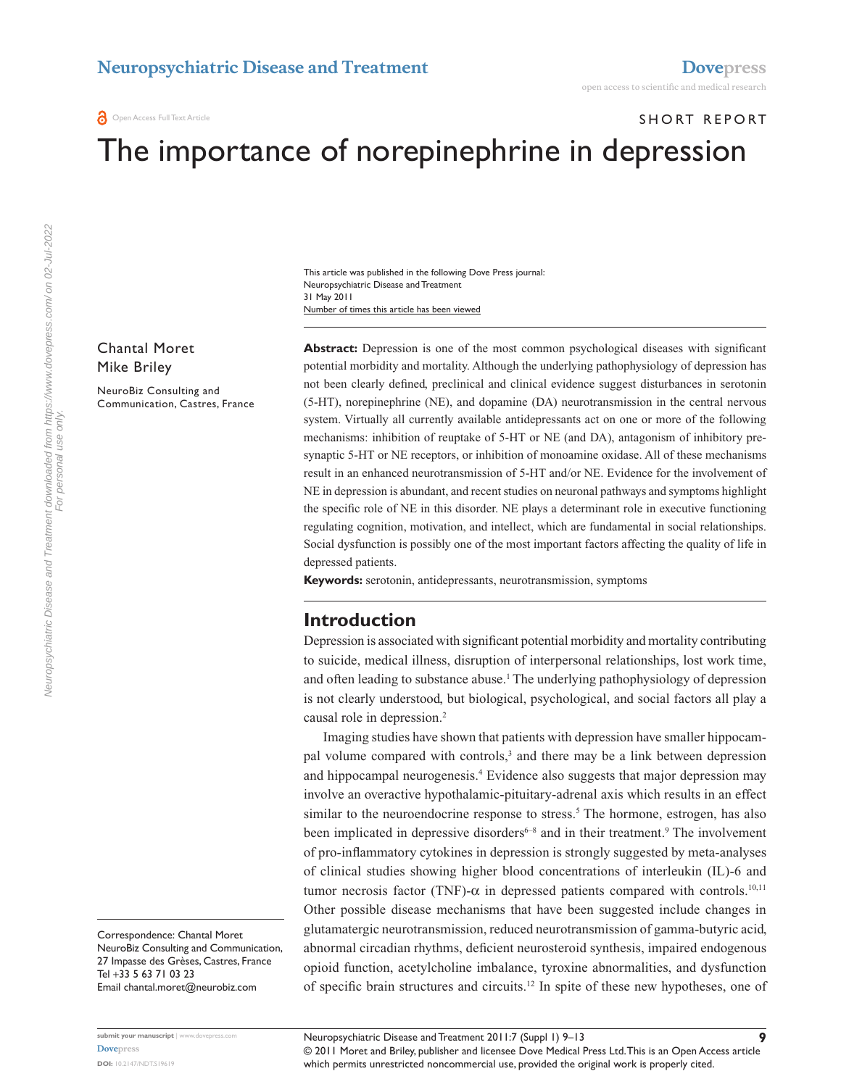**O** Open Access Full Text Article

SHORT REPORT

# The importance of norepinephrine in depression

Number of times this article has been viewed This article was published in the following Dove Press journal: Neuropsychiatric Disease and Treatment 31 May 2011

# Chantal Moret Mike Briley

NeuroBiz Consulting and Communication, Castres, France **Abstract:** Depression is one of the most common psychological diseases with significant potential morbidity and mortality. Although the underlying pathophysiology of depression has not been clearly defined, preclinical and clinical evidence suggest disturbances in serotonin (5-HT), norepinephrine (NE), and dopamine (DA) neurotransmission in the central nervous system. Virtually all currently available antidepressants act on one or more of the following mechanisms: inhibition of reuptake of 5-HT or NE (and DA), antagonism of inhibitory presynaptic 5-HT or NE receptors, or inhibition of monoamine oxidase. All of these mechanisms result in an enhanced neurotransmission of 5-HT and/or NE. Evidence for the involvement of NE in depression is abundant, and recent studies on neuronal pathways and symptoms highlight the specific role of NE in this disorder. NE plays a determinant role in executive functioning regulating cognition, motivation, and intellect, which are fundamental in social relationships. Social dysfunction is possibly one of the most important factors affecting the quality of life in depressed patients.

**Keywords:** serotonin, antidepressants, neurotransmission, symptoms

# **Introduction**

Depression is associated with significant potential morbidity and mortality contributing to suicide, medical illness, disruption of interpersonal relationships, lost work time, and often leading to substance abuse.<sup>1</sup> The underlying pathophysiology of depression is not clearly understood, but biological, psychological, and social factors all play a causal role in depression.<sup>2</sup>

Imaging studies have shown that patients with depression have smaller hippocampal volume compared with controls,<sup>3</sup> and there may be a link between depression and hippocampal neurogenesis.<sup>4</sup> Evidence also suggests that major depression may involve an overactive hypothalamic-pituitary-adrenal axis which results in an effect similar to the neuroendocrine response to stress.<sup>5</sup> The hormone, estrogen, has also been implicated in depressive disorders<sup>6-8</sup> and in their treatment.<sup>9</sup> The involvement of pro-inflammatory cytokines in depression is strongly suggested by meta-analyses of clinical studies showing higher blood concentrations of interleukin (IL)-6 and tumor necrosis factor (TNF)- $α$  in depressed patients compared with controls.<sup>10,11</sup> Other possible disease mechanisms that have been suggested include changes in glutamatergic neurotransmission, reduced neurotransmission of gamma-butyric acid, abnormal circadian rhythms, deficient neurosteroid synthesis, impaired endogenous opioid function, acetylcholine imbalance, tyroxine abnormalities, and dysfunction of specific brain structures and circuits.12 In spite of these new hypotheses, one of

Neuropsychiatric Disease and Treatment downloaded from https://www.dovepress.com/ on 02-Jul-2022<br>For personal use only. Neuropsychiatric Disease and Treatment downloaded from https://www.dovepress.com/ on 02-Jul-2022 For personal use only.

> Correspondence: Chantal Moret NeuroBiz Consulting and Communication, 27 Impasse des Grèses, Castres, France Tel +33 5 63 71 03 23 Email [chantal.moret@neurobiz.com](mailto:chantal.moret@neurobiz.com)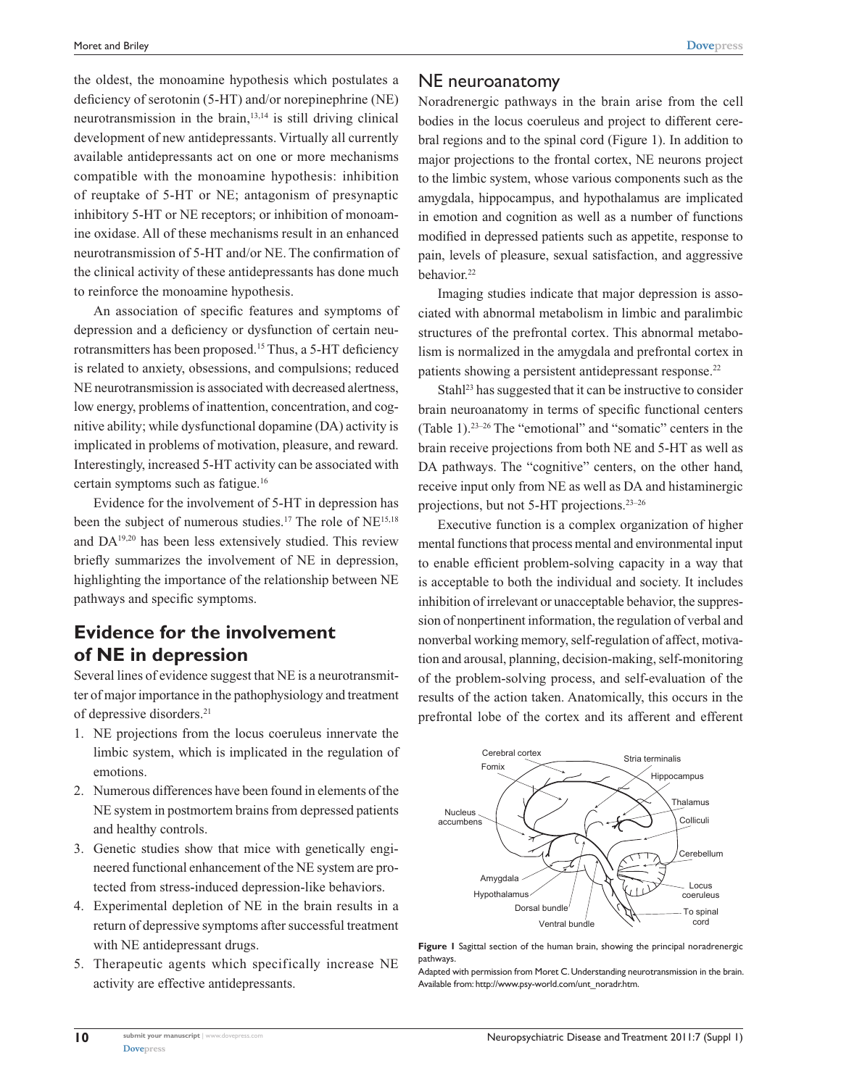the oldest, the monoamine hypothesis which postulates a deficiency of serotonin (5-HT) and/or norepinephrine (NE) neurotransmission in the brain, $13,14$  is still driving clinical development of new antidepressants. Virtually all currently available antidepressants act on one or more mechanisms compatible with the monoamine hypothesis: inhibition of reuptake of 5-HT or NE; antagonism of presynaptic inhibitory 5-HT or NE receptors; or inhibition of monoamine oxidase. All of these mechanisms result in an enhanced neurotransmission of 5-HT and/or NE. The confirmation of the clinical activity of these antidepressants has done much to reinforce the monoamine hypothesis.

An association of specific features and symptoms of depression and a deficiency or dysfunction of certain neurotransmitters has been proposed.15 Thus, a 5-HT deficiency is related to anxiety, obsessions, and compulsions; reduced NE neurotransmission is associated with decreased alertness, low energy, problems of inattention, concentration, and cognitive ability; while dysfunctional dopamine (DA) activity is implicated in problems of motivation, pleasure, and reward. Interestingly, increased 5-HT activity can be associated with certain symptoms such as fatigue.16

Evidence for the involvement of 5-HT in depression has been the subject of numerous studies.<sup>17</sup> The role of NE<sup>15,18</sup> and DA19,20 has been less extensively studied. This review briefly summarizes the involvement of NE in depression, highlighting the importance of the relationship between NE pathways and specific symptoms.

# **Evidence for the involvement of NE in depression**

Several lines of evidence suggest that NE is a neurotransmitter of major importance in the pathophysiology and treatment of depressive disorders.21

- 1. NE projections from the locus coeruleus innervate the limbic system, which is implicated in the regulation of emotions.
- 2. Numerous differences have been found in elements of the NE system in postmortem brains from depressed patients and healthy controls.
- 3. Genetic studies show that mice with genetically engineered functional enhancement of the NE system are protected from stress-induced depression-like behaviors.
- 4. Experimental depletion of NE in the brain results in a return of depressive symptoms after successful treatment with NE antidepressant drugs.
- 5. Therapeutic agents which specifically increase NE activity are effective antidepressants.

### NE neuroanatomy

Noradrenergic pathways in the brain arise from the cell bodies in the locus coeruleus and project to different cerebral regions and to the spinal cord (Figure 1). In addition to major projections to the frontal cortex, NE neurons project to the limbic system, whose various components such as the amygdala, hippocampus, and hypothalamus are implicated in emotion and cognition as well as a number of functions modified in depressed patients such as appetite, response to pain, levels of pleasure, sexual satisfaction, and aggressive behavior.22

Imaging studies indicate that major depression is associated with abnormal metabolism in limbic and paralimbic structures of the prefrontal cortex. This abnormal metabolism is normalized in the amygdala and prefrontal cortex in patients showing a persistent antidepressant response.<sup>22</sup>

Stahl<sup>23</sup> has suggested that it can be instructive to consider brain neuroanatomy in terms of specific functional centers (Table 1).23–26 The "emotional" and "somatic" centers in the brain receive projections from both NE and 5-HT as well as DA pathways. The "cognitive" centers, on the other hand, receive input only from NE as well as DA and histaminergic projections, but not 5-HT projections.23–26

Executive function is a complex organization of higher mental functions that process mental and environmental input to enable efficient problem-solving capacity in a way that is acceptable to both the individual and society. It includes inhibition of irrelevant or unacceptable behavior, the suppression of nonpertinent information, the regulation of verbal and nonverbal working memory, self-regulation of affect, motivation and arousal, planning, decision-making, self-monitoring of the problem-solving process, and self-evaluation of the results of the action taken. Anatomically, this occurs in the prefrontal lobe of the cortex and its afferent and efferent



**Figure 1** Sagittal section of the human brain, showing the principal noradrenergic pathways.

Adapted with permission from Moret C. Understanding neurotransmission in the brain. Available from: [http://www.psy-world.com/unt\\_noradr.htm](http://www.psy-world.com/unt_noradr.htm).

**[Dovepress](www.dovepress.com)**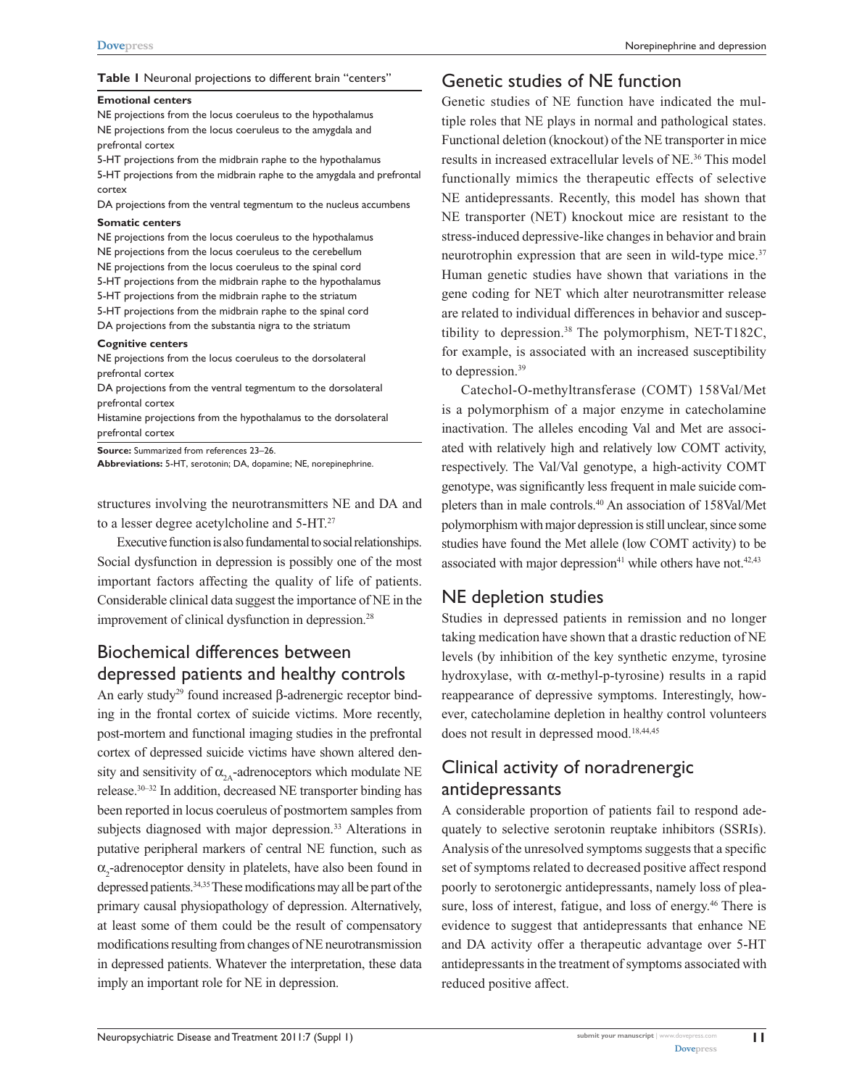#### **Table 1** Neuronal projections to different brain "centers"

#### **Emotional centers**

NE projections from the locus coeruleus to the hypothalamus NE projections from the locus coeruleus to the amygdala and prefrontal cortex

5-HT projections from the midbrain raphe to the hypothalamus 5-HT projections from the midbrain raphe to the amygdala and prefrontal cortex

DA projections from the ventral tegmentum to the nucleus accumbens

#### **Somatic centers**

NE projections from the locus coeruleus to the hypothalamus NE projections from the locus coeruleus to the cerebellum NE projections from the locus coeruleus to the spinal cord 5-HT projections from the midbrain raphe to the hypothalamus 5-HT projections from the midbrain raphe to the striatum 5-HT projections from the midbrain raphe to the spinal cord DA projections from the substantia nigra to the striatum

#### **Cognitive centers**

NE projections from the locus coeruleus to the dorsolateral prefrontal cortex

DA projections from the ventral tegmentum to the dorsolateral prefrontal cortex

Histamine projections from the hypothalamus to the dorsolateral prefrontal cortex

**Source:** Summarized from references 23–26.

**Abbreviations:** 5-HT, serotonin; DA, dopamine; NE, norepinephrine.

structures involving the neurotransmitters NE and DA and to a lesser degree acetylcholine and 5-HT.27

Executive function is also fundamental to social relationships. Social dysfunction in depression is possibly one of the most important factors affecting the quality of life of patients. Considerable clinical data suggest the importance of NE in the improvement of clinical dysfunction in depression.28

# Biochemical differences between depressed patients and healthy controls

An early study<sup>29</sup> found increased β-adrenergic receptor binding in the frontal cortex of suicide victims. More recently, post-mortem and functional imaging studies in the prefrontal cortex of depressed suicide victims have shown altered density and sensitivity of  $\alpha_{2A}$ -adrenoceptors which modulate NE release.30–32 In addition, decreased NE transporter binding has been reported in locus coeruleus of postmortem samples from subjects diagnosed with major depression.<sup>33</sup> Alterations in putative peripheral markers of central NE function, such as  $\alpha$ <sub>2</sub>-adrenoceptor density in platelets, have also been found in depressed patients.34,35 These modifications may all be part of the primary causal physiopathology of depression. Alternatively, at least some of them could be the result of compensatory modifications resulting from changes of NE neurotransmission in depressed patients. Whatever the interpretation, these data imply an important role for NE in depression.

## Genetic studies of NE function

Genetic studies of NE function have indicated the multiple roles that NE plays in normal and pathological states. Functional deletion (knockout) of the NE transporter in mice results in increased extracellular levels of NE.36 This model functionally mimics the therapeutic effects of selective NE antidepressants. Recently, this model has shown that NE transporter (NET) knockout mice are resistant to the stress-induced depressive-like changes in behavior and brain neurotrophin expression that are seen in wild-type mice.<sup>37</sup> Human genetic studies have shown that variations in the gene coding for NET which alter neurotransmitter release are related to individual differences in behavior and susceptibility to depression.<sup>38</sup> The polymorphism, NET-T182C, for example, is associated with an increased susceptibility to depression.<sup>39</sup>

Catechol-O-methyltransferase (COMT) 158Val/Met is a polymorphism of a major enzyme in catecholamine inactivation. The alleles encoding Val and Met are associated with relatively high and relatively low COMT activity, respectively. The Val/Val genotype, a high-activity COMT genotype, was significantly less frequent in male suicide completers than in male controls.40 An association of 158Val/Met polymorphism with major depression is still unclear, since some studies have found the Met allele (low COMT activity) to be associated with major depression<sup>41</sup> while others have not.<sup>42,43</sup>

# NE depletion studies

Studies in depressed patients in remission and no longer taking medication have shown that a drastic reduction of NE levels (by inhibition of the key synthetic enzyme, tyrosine hydroxylase, with α-methyl-p-tyrosine) results in a rapid reappearance of depressive symptoms. Interestingly, however, catecholamine depletion in healthy control volunteers does not result in depressed mood.<sup>18,44,45</sup>

# Clinical activity of noradrenergic antidepressants

A considerable proportion of patients fail to respond adequately to selective serotonin reuptake inhibitors (SSRIs). Analysis of the unresolved symptoms suggests that a specific set of symptoms related to decreased positive affect respond poorly to serotonergic antidepressants, namely loss of pleasure, loss of interest, fatigue, and loss of energy.<sup>46</sup> There is evidence to suggest that antidepressants that enhance NE and DA activity offer a therapeutic advantage over 5-HT antidepressants in the treatment of symptoms associated with reduced positive affect.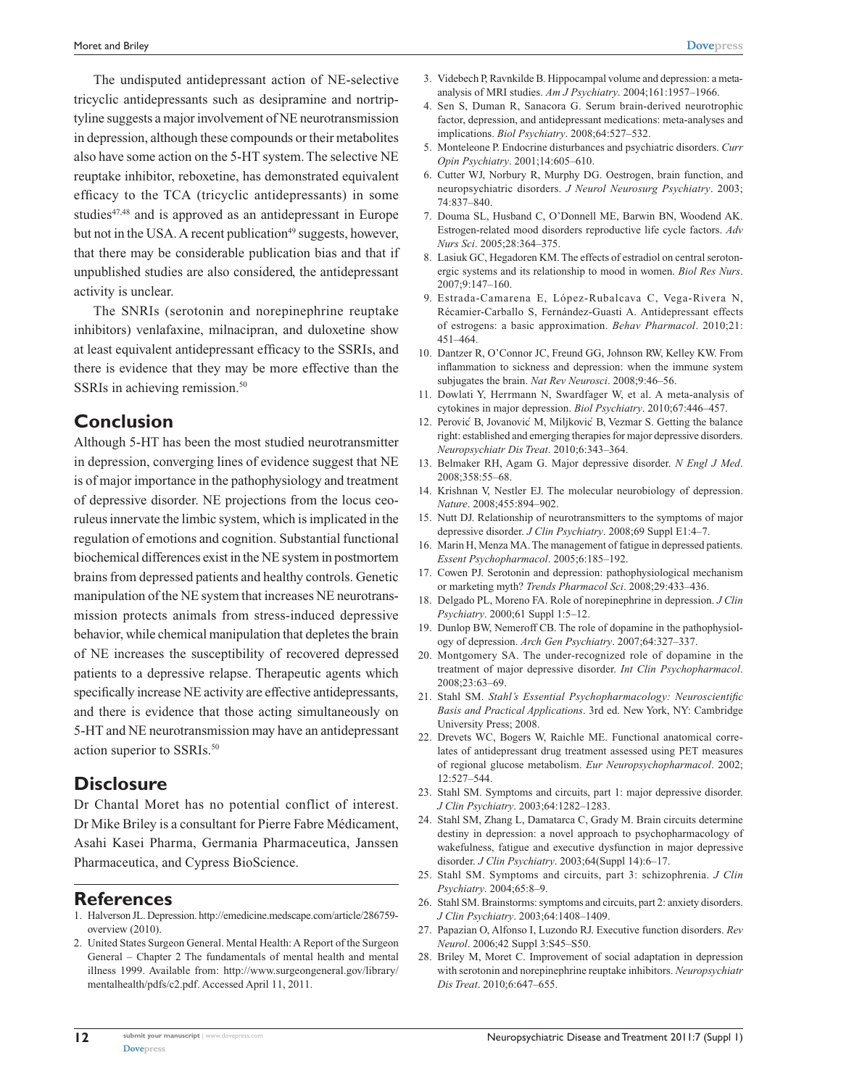The undisputed antidepressant action of NE-selective tricyclic antidepressants such as desipramine and nortriptyline suggests a major involvement of NE neurotransmission in depression, although these compounds or their metabolites also have some action on the 5-HT system. The selective NE reuptake inhibitor, reboxetine, has demonstrated equivalent efficacy to the TCA (tricyclic antidepressants) in some studies<sup>47,48</sup> and is approved as an antidepressant in Europe but not in the USA. A recent publication<sup>49</sup> suggests, however, that there may be considerable publication bias and that if unpublished studies are also considered, the antidepressant activity is unclear.

The SNRIs (serotonin and norepinephrine reuptake inhibitors) venlafaxine, milnacipran, and duloxetine show at least equivalent antidepressant efficacy to the SSRIs, and there is evidence that they may be more effective than the SSRIs in achieving remission.<sup>50</sup>

## **Conclusion**

Although 5-HT has been the most studied neurotransmitter in depression, converging lines of evidence suggest that NE is of major importance in the pathophysiology and treatment of depressive disorder. NE projections from the locus ceoruleus innervate the limbic system, which is implicated in the regulation of emotions and cognition. Substantial functional biochemical differences exist in the NE system in postmortem brains from depressed patients and healthy controls. Genetic manipulation of the NE system that increases NE neurotransmission protects animals from stress-induced depressive behavior, while chemical manipulation that depletes the brain of NE increases the susceptibility of recovered depressed patients to a depressive relapse. Therapeutic agents which specifically increase NE activity are effective antidepressants, and there is evidence that those acting simultaneously on 5-HT and NE neurotransmission may have an antidepressant action superior to SSRIs.50

## **Disclosure**

Dr Chantal Moret has no potential conflict of interest. Dr Mike Briley is a consultant for Pierre Fabre Médicament, Asahi Kasei Pharma, Germania Pharmaceutica, Janssen Pharmaceutica, and Cypress BioScience.

# **References**

- 1. Halverson JL. Depression. [http://emedicine.medscape.com/article/286759](http://emedicine.medscape.com/article/286759-overview (2010)) [overview \(2010\).](http://emedicine.medscape.com/article/286759-overview (2010))
- 2. United States Surgeon General. Mental Health: A Report of the Surgeon General – Chapter 2 The fundamentals of mental health and mental illness 1999. Available from: [http://www.surgeongeneral.gov/library/](http://www.surgeongeneral.gov/library/mentalhealth/pdfs/c2.pdf) [mentalhealth/pdfs/c2.pdf.](http://www.surgeongeneral.gov/library/mentalhealth/pdfs/c2.pdf) Accessed April 11, 2011.
- 3. Videbech P, Ravnkilde B. Hippocampal volume and depression: a metaanalysis of MRI studies. *Am J Psychiatry*. 2004;161:1957–1966.
- 4. Sen S, Duman R, Sanacora G. Serum brain-derived neurotrophic factor, depression, and antidepressant medications: meta-analyses and implications. *Biol Psychiatry*. 2008;64:527–532.
- 5. Monteleone P. Endocrine disturbances and psychiatric disorders. *Curr Opin Psychiatry*. 2001;14:605–610.
- 6. Cutter WJ, Norbury R, Murphy DG. Oestrogen, brain function, and neuropsychiatric disorders. *J Neurol Neurosurg Psychiatry*. 2003; 74:837–840.
- 7. Douma SL, Husband C, O'Donnell ME, Barwin BN, Woodend AK. Estrogen-related mood disorders reproductive life cycle factors. *Adv Nurs Sci*. 2005;28:364–375.
- 8. Lasiuk GC, Hegadoren KM. The effects of estradiol on central serotonergic systems and its relationship to mood in women. *Biol Res Nurs*. 2007;9:147–160.
- 9. Estrada-Camarena E, López-Rubalcava C, Vega-Rivera N, Récamier-Carballo S, Fernández-Guasti A. Antidepressant effects of estrogens: a basic approximation. *Behav Pharmacol*. 2010;21: 451–464.
- 10. Dantzer R, O'Connor JC, Freund GG, Johnson RW, Kelley KW. From inflammation to sickness and depression: when the immune system subjugates the brain. *Nat Rev Neurosci*. 2008;9:46–56.
- 11. Dowlati Y, Herrmann N, Swardfager W, et al. A meta-analysis of cytokines in major depression. *Biol Psychiatry*. 2010;67:446–457.
- 12. Perovic´ B, Jovanovic´ M, Miljkovic´ B, Vezmar S. Getting the balance right: established and emerging therapies for major depressive disorders. *Neuropsychiatr Dis Treat*. 2010;6:343–364.
- 13. Belmaker RH, Agam G. Major depressive disorder. *N Engl J Med*. 2008;358:55–68.
- 14. Krishnan V, Nestler EJ. The molecular neurobiology of depression. *Nature*. 2008;455:894–902.
- 15. Nutt DJ. Relationship of neurotransmitters to the symptoms of major depressive disorder. *J Clin Psychiatry*. 2008;69 Suppl E1:4–7.
- 16. Marin H, Menza MA. The management of fatigue in depressed patients. *Essent Psychopharmacol*. 2005;6:185–192.
- 17. Cowen PJ. Serotonin and depression: pathophysiological mechanism or marketing myth? *Trends Pharmacol Sci*. 2008;29:433–436.
- 18. Delgado PL, Moreno FA. Role of norepinephrine in depression. *J Clin Psychiatry*. 2000;61 Suppl 1:5–12.
- 19. Dunlop BW, Nemeroff CB. The role of dopamine in the pathophysiology of depression. *Arch Gen Psychiatry*. 2007;64:327–337.
- 20. Montgomery SA. The under-recognized role of dopamine in the treatment of major depressive disorder. *Int Clin Psychopharmacol*. 2008;23:63–69.
- 21. Stahl SM. *Stahl's Essential Psychopharmacology: Neuroscientific Basis and Practical Applications*. 3rd ed. New York, NY: Cambridge University Press; 2008.
- 22. Drevets WC, Bogers W, Raichle ME. Functional anatomical correlates of antidepressant drug treatment assessed using PET measures of regional glucose metabolism. *Eur Neuropsychopharmacol*. 2002; 12:527–544.
- 23. Stahl SM. Symptoms and circuits, part 1: major depressive disorder. *J Clin Psychiatry*. 2003;64:1282–1283.
- 24. Stahl SM, Zhang L, Damatarca C, Grady M. Brain circuits determine destiny in depression: a novel approach to psychopharmacology of wakefulness, fatigue and executive dysfunction in major depressive disorder. *J Clin Psychiatry*. 2003;64(Suppl 14):6–17.
- 25. Stahl SM. Symptoms and circuits, part 3: schizophrenia. *J Clin Psychiatry*. 2004;65:8–9.
- 26. Stahl SM. Brainstorms: symptoms and circuits, part 2: anxiety disorders. *J Clin Psychiatry*. 2003;64:1408–1409.
- 27. Papazian O, Alfonso I, Luzondo RJ. Executive function disorders. *Rev Neurol*. 2006;42 Suppl 3:S45–S50.
- 28. Briley M, Moret C. Improvement of social adaptation in depression with serotonin and norepinephrine reuptake inhibitors. *Neuropsychiatr Dis Treat*. 2010;6:647–655.